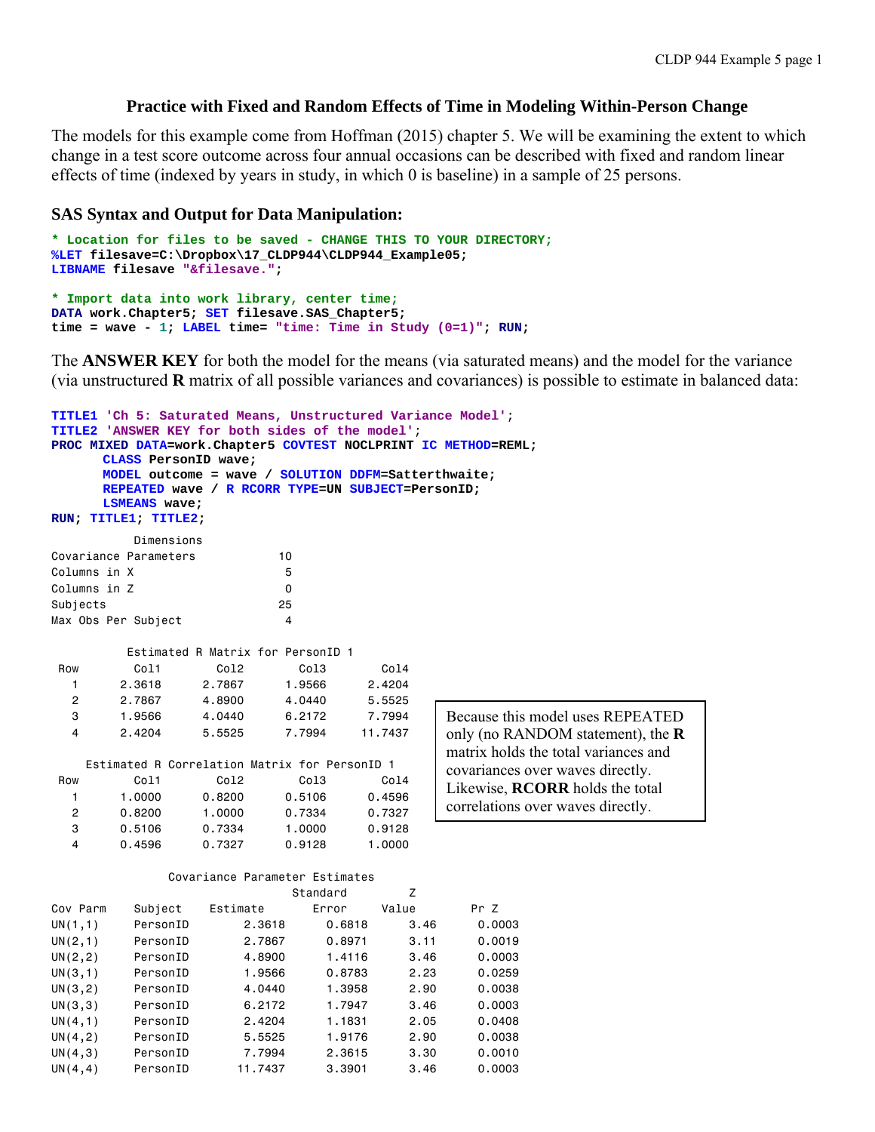### **Practice with Fixed and Random Effects of Time in Modeling Within-Person Change**

The models for this example come from Hoffman (2015) chapter 5. We will be examining the extent to which change in a test score outcome across four annual occasions can be described with fixed and random linear effects of time (indexed by years in study, in which 0 is baseline) in a sample of 25 persons.

#### **SAS Syntax and Output for Data Manipulation:**

```
* Location for files to be saved - CHANGE THIS TO YOUR DIRECTORY;
%LET filesave=C:\Dropbox\17_CLDP944\CLDP944_Example05; 
LIBNAME filesave "&filesave."; 
* Import data into work library, center time;
DATA work.Chapter5; SET filesave.SAS_Chapter5; 
time = wave - 1; LABEL time= "time: Time in Study (0=1)"; RUN;
```
The **ANSWER KEY** for both the model for the means (via saturated means) and the model for the variance (via unstructured **R** matrix of all possible variances and covariances) is possible to estimate in balanced data:

```
TITLE1 'Ch 5: Saturated Means, Unstructured Variance Model'; 
TITLE2 'ANSWER KEY for both sides of the model'; 
PROC MIXED DATA=work.Chapter5 COVTEST NOCLPRINT IC METHOD=REML; 
     CLASS PersonID wave; 
     MODEL outcome = wave / SOLUTION DDFM=Satterthwaite; 
     REPEATED wave / R RCORR TYPE=UN SUBJECT=PersonID; 
     LSMEANS wave; 
RUN; TITLE1; TITLE2; 
         Dimensions 
Covariance Parameters 10 
Columns in X 5
Columns in Z 0
Subjects 25
Max Obs Per Subject 4
         Estimated R Matrix for PersonID 1 
Row Col1 Col2 Col3 Col4
 1 2.3618 2.7867 1.9566 2.4204 
   2 2.7867 4.8900 4.0440 5.5525 
   3 1.9566 4.0440 6.2172 7.7994 
   4 2.4204 5.5525 7.7994 11.7437 
    Estimated R Correlation Matrix for PersonID 1 
Row Col1 Col2 Col3 Col4
   1 1.0000 0.8200 0.5106 0.4596 
   2 0.8200 1.0000 0.7334 0.7327 
 3 0.5106 0.7334 1.0000 0.9128 
 4 0.4596 0.7327 0.9128 1.0000 
             Covariance Parameter Estimates 
                          Standard Z 
Cov Parm Subject Estimate Error Value Pr Z 
UN(1,1) PersonID 2.3618 0.6818 3.46 0.0003 
UN(2,1) PersonID 2.7867 0.8971 3.11 0.0019 
UN(2,2) PersonID 4.8900 1.4116 3.46 0.0003 
UN(3,1) PersonID 1.9566 0.8783 2.23 0.0259 
UN(3,2) PersonID 4.0440 1.3958 2.90 0.0038 
UN(3,3) PersonID 6.2172 1.7947 3.46 0.0003 
UN(4,1) PersonID 2.4204 1.1831 2.05 0.0408 
UN(4,2) PersonID 5.5525 1.9176 2.90 0.0038 
UN(4,3) PersonID 7.7994 2.3615 3.30 0.0010 
UN(4,4) PersonID 11.7437 3.3901 3.46 0.0003 
                                          Because this model uses REPEATED 
                                          only (no RANDOM statement), the R
                                          matrix holds the total variances and 
                                          covariances over waves directly. 
                                          Likewise, RCORR holds the total 
                                          correlations over waves directly.
```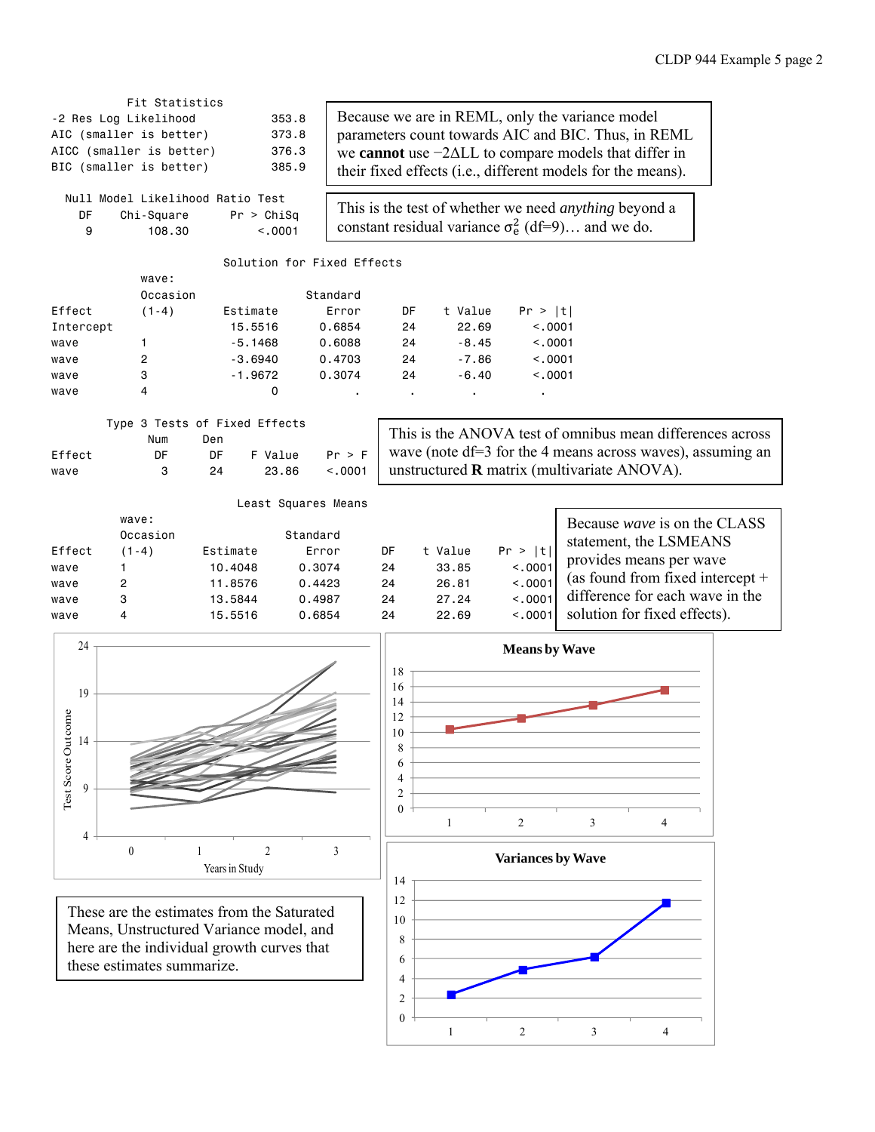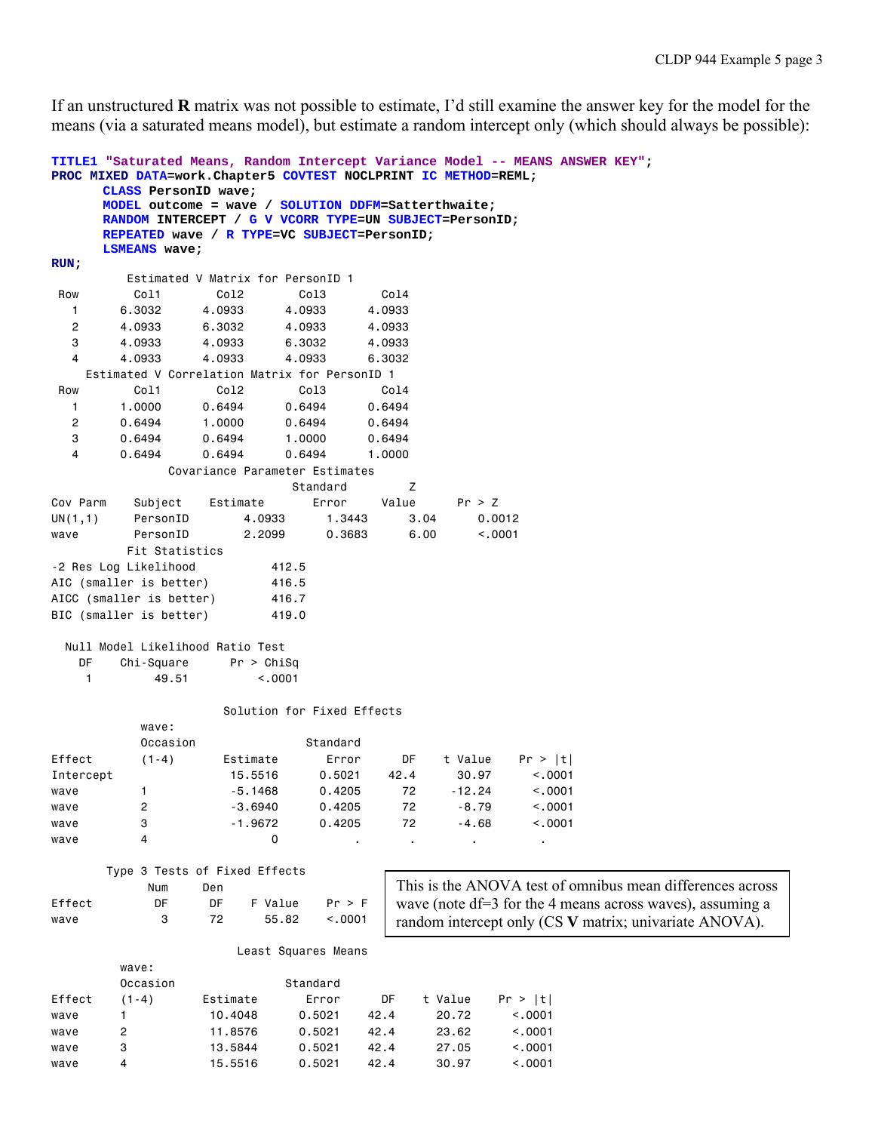If an unstructured **R** matrix was not possible to estimate, I'd still examine the answer key for the model for the means (via a saturated means model), but estimate a random intercept only (which should always be possible):

```
TITLE1 "Saturated Means, Random Intercept Variance Model -- MEANS ANSWER KEY"; 
PROC MIXED DATA=work.Chapter5 COVTEST NOCLPRINT IC METHOD=REML; 
     CLASS PersonID wave; 
     MODEL outcome = wave / SOLUTION DDFM=Satterthwaite; 
     RANDOM INTERCEPT / G V VCORR TYPE=UN SUBJECT=PersonID; 
     REPEATED wave / R TYPE=VC SUBJECT=PersonID; 
     LSMEANS wave; 
RUN; 
        Estimated V Matrix for PersonID 1 
 Row Col1 Col2 Col3 Col4 
 1 6.3032 4.0933 4.0933 4.0933 
 2 4.0933 6.3032 4.0933 4.0933 
 3 4.0933 4.0933 6.3032 4.0933 
 4 4.0933 4.0933 4.0933 6.3032 
    Estimated V Correlation Matrix for PersonID 1 
 Row Col1 Col2 Col3 Col4 
 1 1.0000 0.6494 0.6494 0.6494 
 2 0.6494 1.0000 0.6494 0.6494 
 3 0.6494 0.6494 1.0000 0.6494 
 4 0.6494 0.6494 0.6494 1.0000 
            Covariance Parameter Estimates 
expressed and the Standard Standard Discovery of \mathsf ZCov Parm Subject Estimate Error Value Pr > Z 
UN(1,1) PersonID 4.0933 1.3443 3.04 0.0012 
wave PersonID 2.2099 0.3683 6.00 <.0001 
        Fit Statistics 
-2 Res Log Likelihood 412.5 
AIC (smaller is better) 416.5
AICC (smaller is better) 416.7
BIC (smaller is better) 419.0
  Null Model Likelihood Ratio Test 
   DF Chi-Square Pr > ChiSq 
    1 49.51 <.0001 
                  Solution for Fixed Effects 
          wave: 
         Occasion Standard
Effect (1-4) Estimate Error DF t Value Pr > |t| 
Intercept 15.5516 0.5021 42.4 30.97 <.0001 
wave 1 -5.1468 0.4205 72 -12.24 <.0001
wave 2 2 -3.6940 0.4205 72 -8.79 <.0001
wave 3 -1.9672 0.4205 72 -4.68 <.0001 
wave 4 0 . . . . . .
      Type 3 Tests of Fixed Effects 
 Num Den 
Effect DF DF F Value Pr > F 
wave 3 72 55.82 <.0001
                    Least Squares Means 
        wave: 
       Occasion Standard
Effect (1-4) Estimate Error DF t Value Pr > |t| 
wave 1 10.4048 0.5021 42.4 20.72 <.0001 
wave 2 11.8576 0.5021 42.4 23.62 <.0001 
wave 3 13.5844 0.5021 42.4 27.05 <.0001 
wave 4 15.5516 0.5021 42.4 30.97 <.0001 
                                   This is the ANOVA test of omnibus mean differences across 
                                   wave (note df=3 for the 4 means across waves), assuming a 
                                   random intercept only (CS V matrix; univariate ANOVA).
```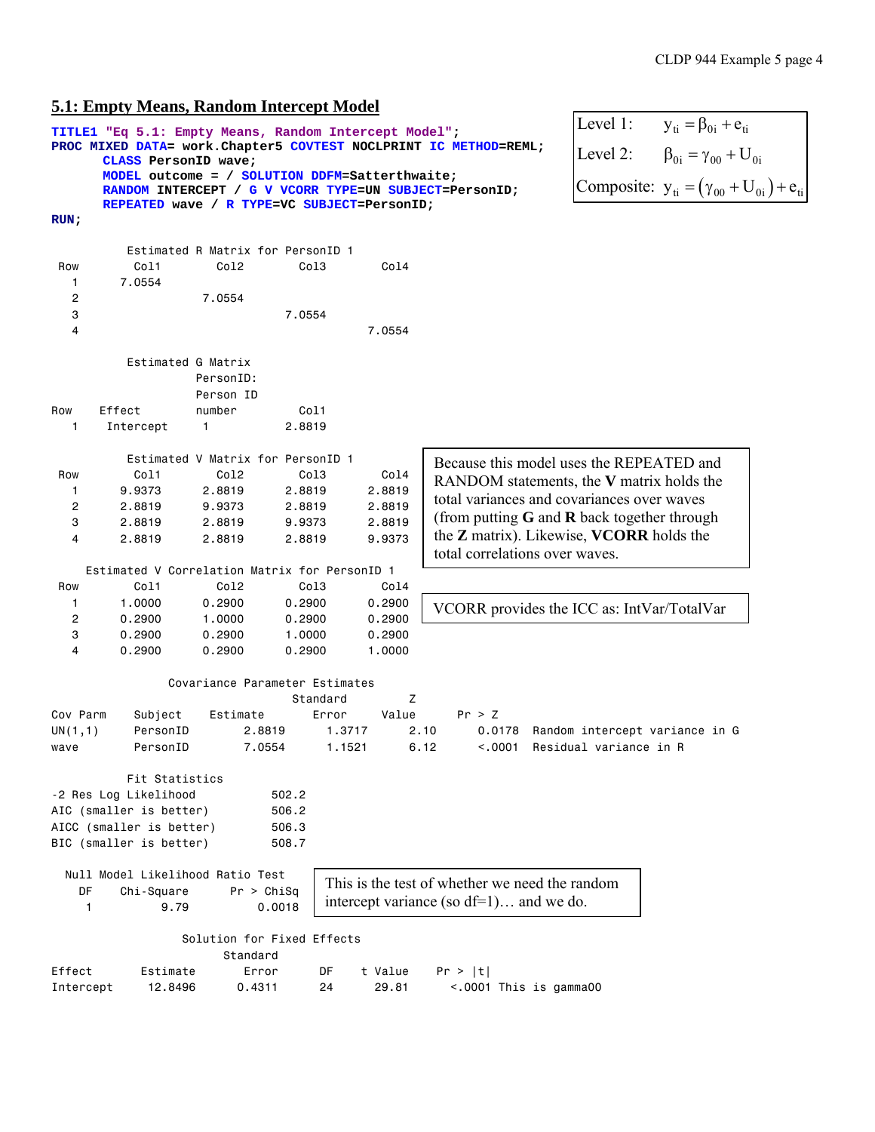# **5.1: Empty Means, Random Intercept Model**

|              |                          | э.т. епіріу імеань, кандоні тиетсері імбает           |          |                  |                                                                   |                                       |                                                       |
|--------------|--------------------------|-------------------------------------------------------|----------|------------------|-------------------------------------------------------------------|---------------------------------------|-------------------------------------------------------|
|              |                          | TITLE1 "Eq 5.1: Empty Means, Random Intercept Model"; |          |                  |                                                                   | Level 1:                              | $y_{ti} = \beta_{0i} + e_{ti}$                        |
|              | CLASS PersonID wave;     |                                                       |          |                  | PROC MIXED DATA= work. Chapter5 COVTEST NOCLPRINT IC METHOD=REML; | Level 2:                              | $\beta_{0i} = \gamma_{00} + U_{0i}$                   |
|              |                          | MODEL outcome = / SOLUTION DDFM=Satterthwaite;        |          |                  |                                                                   |                                       |                                                       |
|              |                          |                                                       |          |                  | RANDOM INTERCEPT / G V VCORR TYPE=UN SUBJECT=PersonID;            |                                       | Composite: $y_{ti} = (\gamma_{00} + U_{0i}) + e_{ti}$ |
| RUN;         |                          | REPEATED wave / R TYPE=VC SUBJECT=PersonID;           |          |                  |                                                                   |                                       |                                                       |
|              |                          |                                                       |          |                  |                                                                   |                                       |                                                       |
|              |                          | Estimated R Matrix for PersonID 1                     |          |                  |                                                                   |                                       |                                                       |
| Row          | Col1                     | Col2                                                  | Col3     | Co14             |                                                                   |                                       |                                                       |
| 1            | 7.0554                   |                                                       |          |                  |                                                                   |                                       |                                                       |
| 2            |                          | 7.0554                                                |          |                  |                                                                   |                                       |                                                       |
| 3            |                          |                                                       | 7.0554   |                  |                                                                   |                                       |                                                       |
| 4            |                          |                                                       |          | 7.0554           |                                                                   |                                       |                                                       |
|              | Estimated G Matrix       |                                                       |          |                  |                                                                   |                                       |                                                       |
|              |                          | PersonID:                                             |          |                  |                                                                   |                                       |                                                       |
|              |                          | Person ID                                             |          |                  |                                                                   |                                       |                                                       |
| Row          | Effect                   | number                                                | Col1     |                  |                                                                   |                                       |                                                       |
| $\mathbf{1}$ | Intercept                | 1                                                     | 2.8819   |                  |                                                                   |                                       |                                                       |
|              |                          |                                                       |          |                  |                                                                   |                                       |                                                       |
|              |                          | Estimated V Matrix for PersonID 1                     |          |                  | Because this model uses the REPEATED and                          |                                       |                                                       |
| Row          | Col1                     | Col2                                                  | Col3     | Col4             | RANDOM statements, the V matrix holds the                         |                                       |                                                       |
| 1            | 9.9373                   | 2.8819                                                | 2.8819   | 2.8819           | total variances and covariances over waves                        |                                       |                                                       |
| 2            | 2.8819                   | 9.9373                                                | 2.8819   | 2.8819           |                                                                   |                                       |                                                       |
| 3            | 2.8819                   | 2.8819                                                | 9.9373   | 2.8819           | (from putting $G$ and $R$ back together through                   |                                       |                                                       |
| 4            | 2.8819                   | 2.8819                                                | 2.8819   | 9.9373           | the <b>Z</b> matrix). Likewise, <b>VCORR</b> holds the            |                                       |                                                       |
|              |                          |                                                       |          |                  | total correlations over waves.                                    |                                       |                                                       |
|              |                          | Estimated V Correlation Matrix for PersonID 1<br>Col2 | Col3     |                  |                                                                   |                                       |                                                       |
| Row<br>1     | Col1<br>1.0000           | 0.2900                                                | 0.2900   | Col4             |                                                                   |                                       |                                                       |
| 2            | 0.2900                   | 1.0000                                                | 0.2900   | 0.2900<br>0.2900 | VCORR provides the ICC as: IntVar/TotalVar                        |                                       |                                                       |
| 3            | 0.2900                   | 0.2900                                                | 1.0000   | 0.2900           |                                                                   |                                       |                                                       |
| 4            | 0.2900                   | 0.2900                                                | 0.2900   | 1.0000           |                                                                   |                                       |                                                       |
|              |                          |                                                       |          |                  |                                                                   |                                       |                                                       |
|              |                          | Covariance Parameter Estimates                        |          |                  |                                                                   |                                       |                                                       |
|              |                          |                                                       | Standard | Ζ                |                                                                   |                                       |                                                       |
| Cov Parm     | Subject                  | Estimate                                              | Error    | Value            | Pr > Z                                                            |                                       |                                                       |
| UN(1,1)      | PersonID                 | 2.8819                                                |          | 1.3717           | 2.10                                                              | 0.0178 Random intercept variance in G |                                                       |
| wave         | PersonID                 | 7.0554                                                |          | 1.1521           | 6.12                                                              | <.0001 Residual variance in R         |                                                       |
|              | Fit Statistics           |                                                       |          |                  |                                                                   |                                       |                                                       |
|              | -2 Res Log Likelihood    |                                                       | 502.2    |                  |                                                                   |                                       |                                                       |
|              | AIC (smaller is better)  |                                                       | 506.2    |                  |                                                                   |                                       |                                                       |
|              | AICC (smaller is better) |                                                       | 506.3    |                  |                                                                   |                                       |                                                       |
|              | BIC (smaller is better)  |                                                       | 508.7    |                  |                                                                   |                                       |                                                       |
|              |                          |                                                       |          |                  |                                                                   |                                       |                                                       |
|              |                          | Null Model Likelihood Ratio Test                      |          |                  | This is the test of whether we need the random                    |                                       |                                                       |
| DF           | Chi-Square               | Pr > Chisq                                            |          |                  |                                                                   |                                       |                                                       |
| $\mathbf{1}$ | 9.79                     | 0.0018                                                |          |                  | intercept variance (so $df=1$ ) and we do.                        |                                       |                                                       |
|              |                          |                                                       |          |                  |                                                                   |                                       |                                                       |
|              |                          | Solution for Fixed Effects<br>Standard                |          |                  |                                                                   |                                       |                                                       |
| Effect       | Estimate                 | Error                                                 | DF       | t Value          | Pr >  t                                                           |                                       |                                                       |
| Intercept    | 12.8496                  | 0.4311                                                | 24       | 29.81            | <.0001 This is gamma00                                            |                                       |                                                       |
|              |                          |                                                       |          |                  |                                                                   |                                       |                                                       |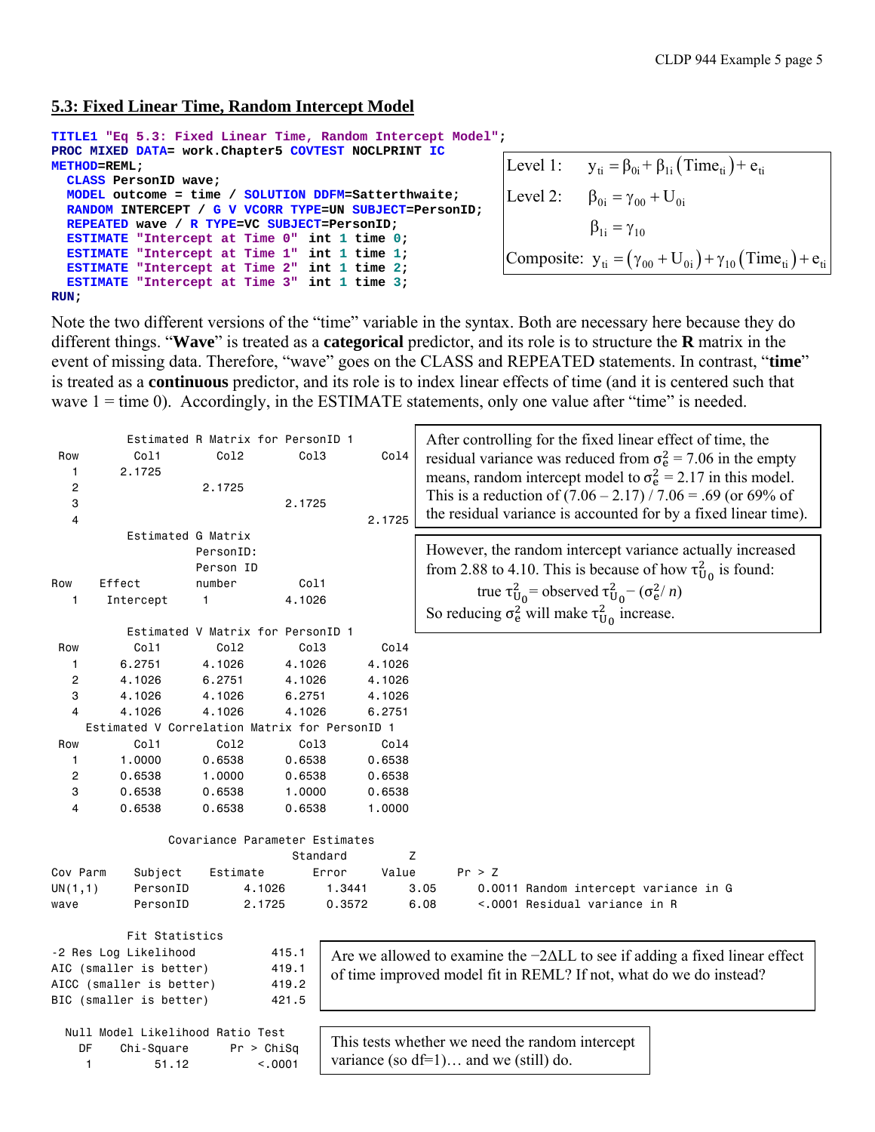## **5.3: Fixed Linear Time, Random Intercept Model**

```
TITLE1 "Eq 5.3: Fixed Linear Time, Random Intercept Model"; 
PROC MIXED DATA= work.Chapter5 COVTEST NOCLPRINT IC 
METHOD=REML; 
   CLASS PersonID wave; 
   MODEL outcome = time / SOLUTION DDFM=Satterthwaite; 
   RANDOM INTERCEPT / G V VCORR TYPE=UN SUBJECT=PersonID; 
   REPEATED wave / R TYPE=VC SUBJECT=PersonID; 
   ESTIMATE "Intercept at Time 0" int 1 time 0; 
   ESTIMATE "Intercept at Time 1" int 1 time 1; 
   ESTIMATE "Intercept at Time 2" int 1 time 2; 
   ESTIMATE "Intercept at Time 3" int 1 time 3; 
RUN; 
                                                                         Level 1: y_{ti} = \beta_{0i} + \beta_{1i} (\text{Time}_{ti}) + e_{ti}Composite: y_{ti} = (\gamma_{00} + U_{0i}) + \gamma_{10} (\text{Time}_{ti}) + e_{ti}Level 2: \beta_{0i} = \gamma_{00} + U_{0i}\beta_{1i} = \gamma_{10}
```
Note the two different versions of the "time" variable in the syntax. Both are necessary here because they do different things. "**Wave**" is treated as a **categorical** predictor, and its role is to structure the **R** matrix in the event of missing data. Therefore, "wave" goes on the CLASS and REPEATED statements. In contrast, "**time**" is treated as a **continuous** predictor, and its role is to index linear effects of time (and it is centered such that wave  $1 =$  time 0). Accordingly, in the ESTIMATE statements, only one value after "time" is needed.

|              |                                               | Estimated R Matrix for PersonID 1 |          |        |        | After controlling for the fixed linear effect of time, the                         |
|--------------|-----------------------------------------------|-----------------------------------|----------|--------|--------|------------------------------------------------------------------------------------|
| Row          | Col1                                          | Co12                              | Col3     |        | Col4   | residual variance was reduced from $\sigma_e^2 = 7.06$ in the empty                |
| 1            | 2.1725                                        |                                   |          |        |        | means, random intercept model to $\sigma_{\rm e}^2$ = 2.17 in this model.          |
| 2            |                                               | 2.1725                            |          |        |        | This is a reduction of $(7.06 - 2.17) / 7.06 = .69$ (or 69% of                     |
| 3            |                                               |                                   | 2.1725   |        |        |                                                                                    |
| 4            |                                               |                                   |          |        | 2.1725 | the residual variance is accounted for by a fixed linear time).                    |
|              | Estimated G Matrix                            |                                   |          |        |        |                                                                                    |
|              |                                               | PersonID:                         |          |        |        | However, the random intercept variance actually increased                          |
|              |                                               | Person ID                         |          |        |        | from 2.88 to 4.10. This is because of how $\tau_{U_0}^2$ is found:                 |
| Row          | Effect                                        | number                            | Col1     |        |        | true $\tau_{U_0}^2$ = observed $\tau_{U_0}^2$ – $(\sigma_e^2/n)$                   |
| 1            | Intercept                                     | 1                                 | 4.1026   |        |        |                                                                                    |
|              |                                               |                                   |          |        |        | So reducing $\sigma_e^2$ will make $\tau_{U_0}^2$ increase.                        |
|              |                                               | Estimated V Matrix for PersonID 1 |          |        |        |                                                                                    |
| Row          | Col1                                          | Co12                              | Co13     |        | Col4   |                                                                                    |
| 1            | 6.2751                                        | 4.1026                            | 4.1026   |        | 4.1026 |                                                                                    |
| 2            | 4.1026                                        | 6.2751                            | 4.1026   |        | 4.1026 |                                                                                    |
| 3            | 4.1026                                        | 4.1026                            | 6.2751   |        | 4.1026 |                                                                                    |
| 4            | 4.1026                                        | 4.1026                            | 4.1026   |        | 6.2751 |                                                                                    |
|              | Estimated V Correlation Matrix for PersonID 1 |                                   |          |        |        |                                                                                    |
| Row          | Col1                                          | Co12                              | Col3     |        | Col4   |                                                                                    |
| 1            | 1.0000                                        | 0.6538                            | 0.6538   |        | 0.6538 |                                                                                    |
| 2            | 0.6538                                        | 1.0000                            | 0.6538   |        | 0.6538 |                                                                                    |
| 3            | 0.6538                                        | 0.6538                            | 1.0000   |        | 0.6538 |                                                                                    |
| 4            | 0.6538                                        | 0.6538                            | 0.6538   |        | 1.0000 |                                                                                    |
|              |                                               |                                   |          |        |        |                                                                                    |
|              |                                               | Covariance Parameter Estimates    |          |        |        |                                                                                    |
|              |                                               |                                   | Standard |        | Ζ      |                                                                                    |
| Cov Parm     | Subject                                       | Estimate                          |          | Error  | Value  | Pr > Z                                                                             |
| UN(1,1)      | PersonID                                      | 4.1026                            |          | 1.3441 |        | 3.05<br>0.0011 Random intercept variance in G                                      |
| wave         | PersonID                                      | 2.1725                            |          | 0.3572 |        | <.0001 Residual variance in R<br>6.08                                              |
|              |                                               |                                   |          |        |        |                                                                                    |
|              | Fit Statistics                                |                                   |          |        |        |                                                                                    |
|              | -2 Res Log Likelihood                         |                                   | 415.1    |        |        | Are we allowed to examine the $-2\Delta LL$ to see if adding a fixed linear effect |
|              | AIC (smaller is better)                       |                                   | 419.1    |        |        | of time improved model fit in REML? If not, what do we do instead?                 |
|              | AICC (smaller is better)                      |                                   | 419.2    |        |        |                                                                                    |
|              | BIC (smaller is better)                       |                                   | 421.5    |        |        |                                                                                    |
|              | Null Model Likelihood Ratio Test              |                                   |          |        |        |                                                                                    |
| DF           | Chi-Square                                    | Pr > Chisq                        |          |        |        | This tests whether we need the random intercept                                    |
| $\mathbf{1}$ | 51.12                                         | < .0001                           |          |        |        | variance (so $df=1$ ) and we (still) do.                                           |
|              |                                               |                                   |          |        |        |                                                                                    |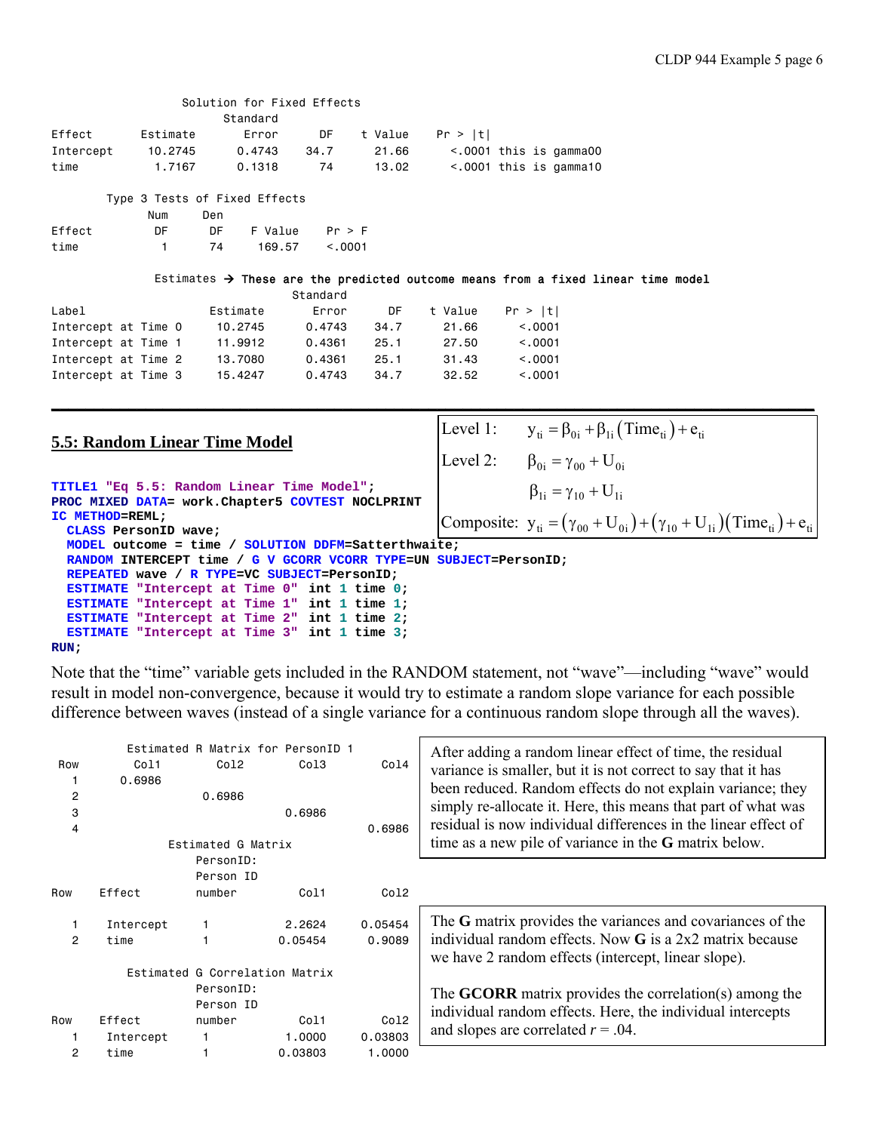|           |          | Solution for Fixed Effects |      |         |                              |  |
|-----------|----------|----------------------------|------|---------|------------------------------|--|
|           |          | Standard                   |      |         |                              |  |
| Effect    | Estimate | Error                      | DF.  | t Value | Pr >  t                      |  |
| Intercept | 10,2745  | 0.4743                     | 34.7 | 21.66   | $\sim$ 0001 this is gamma00  |  |
| time      | 1.7167   | 0.1318                     | -74  | 13.02   | $\leq$ .0001 this is gamma10 |  |

|        |     |     | Type 3 Tests of Fixed Effects |        |
|--------|-----|-----|-------------------------------|--------|
|        | Num | Den |                               |        |
| Effect | DE. | DE. | F Value                       | Pr > F |

| time | 74 | 169.57 | < 0.0001 |
|------|----|--------|----------|
|      |    |        |          |

#### Estimates  $\rightarrow$  These are the predicted outcome means from a fixed linear time model

**\_\_\_\_\_\_\_\_\_\_\_\_\_\_\_\_\_\_\_\_\_\_\_\_\_\_\_\_\_\_\_\_\_\_\_\_\_\_\_\_\_\_\_\_\_\_\_\_\_\_\_\_\_\_\_\_\_\_\_\_\_\_\_\_\_\_\_\_\_\_\_\_\_\_\_\_\_\_\_\_\_\_\_\_\_\_\_\_\_** 

|  |                                                                                          | Standard |      |         |          |
|--|------------------------------------------------------------------------------------------|----------|------|---------|----------|
|  | Estimate                                                                                 | Error    | DF   | t Value | Pr >  t  |
|  | 10.2745                                                                                  | 0.4743   | 34.7 | 21.66   | < 0.001  |
|  | 11,9912                                                                                  | 0.4361   | 25.1 | 27.50   | < 0.0001 |
|  | 13,7080                                                                                  | 0.4361   | 25.1 | 31.43   | < 0.0001 |
|  | 15.4247                                                                                  | 0.4743   | 34.7 | 32.52   | < 0.001  |
|  | Intercept at Time 0<br>Intercept at Time 1<br>Intercept at Time 2<br>Intercept at Time 3 |          |      |         |          |

#### **5.5: Random Linear Time Model**

```
TITLE1 "Eq 5.5: Random Linear Time Model"; 
PROC MIXED DATA= work.Chapter5 COVTEST NOCLPRINT 
IC METHOD=REML; 
   CLASS PersonID wave; 
  MODEL outcome = time / SOLUTION DDFM=Satterthwaite; 
  RANDOM INTERCEPT time / G V GCORR VCORR TYPE=UN SUBJECT=PersonID; 
  REPEATED wave / R TYPE=VC SUBJECT=PersonID; 
   ESTIMATE "Intercept at Time 0" int 1 time 0; 
   ESTIMATE "Intercept at Time 1" int 1 time 1; 
   ESTIMATE "Intercept at Time 2" int 1 time 2; 
  ESTIMATE "Intercept at Time 3" int 1 time 3;
```
# **RUN;**

Note that the "time" variable gets included in the RANDOM statement, not "wave"—including "wave" would result in model non-convergence, because it would try to estimate a random slope variance for each possible difference between waves (instead of a single variance for a continuous random slope through all the waves).

|                |           |                                | Estimated R Matrix for PersonID 1 |         | After adding a random linear effect of time, the residual                                                         |
|----------------|-----------|--------------------------------|-----------------------------------|---------|-------------------------------------------------------------------------------------------------------------------|
| Row            | Co11      | Co12                           | Co13                              | Co14    | variance is smaller, but it is not correct to say that it has                                                     |
|                | 0.6986    |                                |                                   |         | been reduced. Random effects do not explain variance; they                                                        |
| $\overline{c}$ |           | 0.6986                         |                                   |         |                                                                                                                   |
| 3              |           |                                | 0.6986                            |         | simply re-allocate it. Here, this means that part of what was                                                     |
| 4              |           |                                |                                   | 0.6986  | residual is now individual differences in the linear effect of                                                    |
|                |           | Estimated G Matrix             |                                   |         | time as a new pile of variance in the G matrix below.                                                             |
|                |           | PersonID:                      |                                   |         |                                                                                                                   |
|                |           | Person ID                      |                                   |         |                                                                                                                   |
| Row            | Effect    | number                         | Co11                              | Col2    |                                                                                                                   |
|                | Intercept |                                | 2.2624                            | 0.05454 | The G matrix provides the variances and covariances of the                                                        |
| 2              | time      |                                | 0.05454                           | 0.9089  | individual random effects. Now $G$ is a 2x2 matrix because<br>we have 2 random effects (intercept, linear slope). |
|                |           | Estimated G Correlation Matrix |                                   |         |                                                                                                                   |
|                |           | PersonID:                      |                                   |         |                                                                                                                   |
|                |           | Person ID                      |                                   |         | The <b>GCORR</b> matrix provides the correlation(s) among the                                                     |
| Row            | Effect    | number                         | Co11                              | Co12    | individual random effects. Here, the individual intercepts                                                        |
|                | Intercept |                                | 1,0000                            | 0.03803 | and slopes are correlated $r = .04$ .                                                                             |
| 2              | time      |                                | 0.03803                           | 1.0000  |                                                                                                                   |

Level 1:  $y_{ti} = \beta_{0i} + \beta_{1i} (\text{Time}_{ti}) + e_{ti}$ Level 2:  $\beta_{0i} = \gamma_{00} + U_{0i}$  $\beta_{1i} = \gamma_{10} + U_{1i}$ 

Composite:  $y_{ti} = (\gamma_{00} + U_{0i}) + (\gamma_{10} + U_{1i}) (Time_{ti}) + e_{ti}$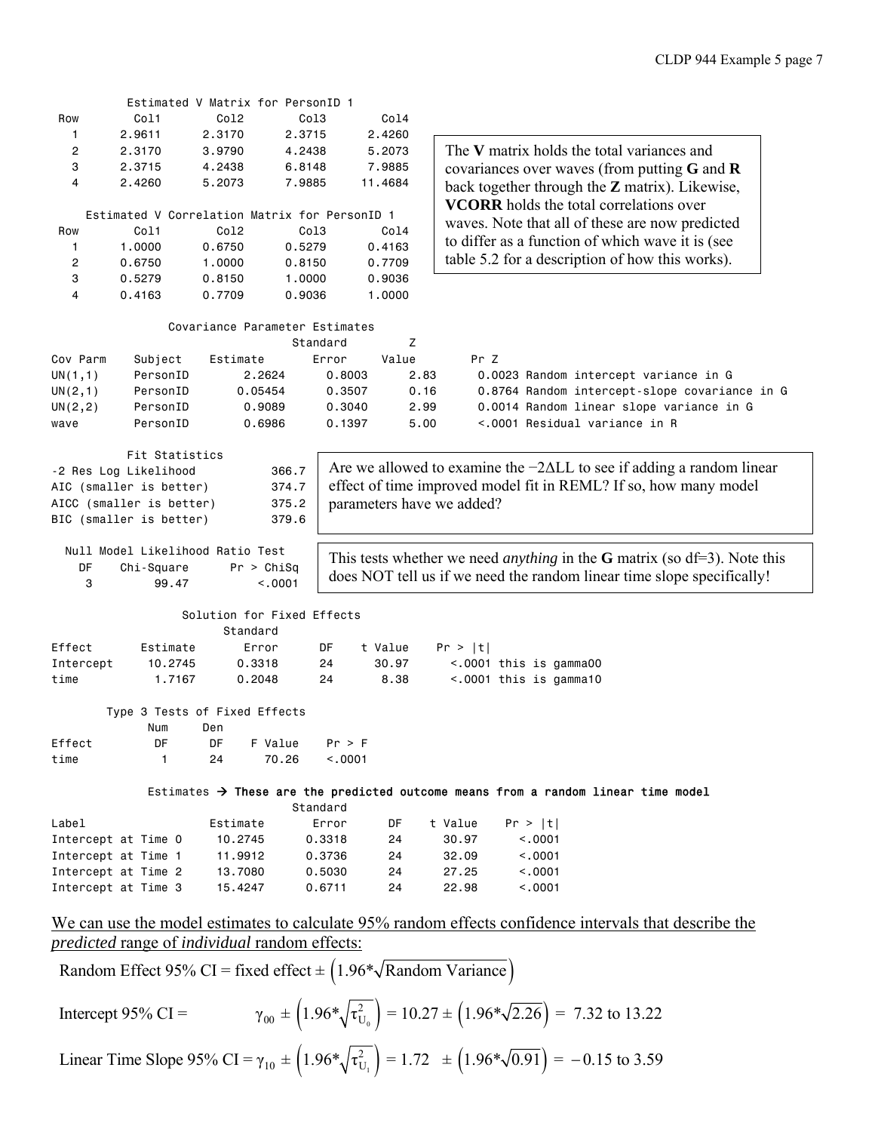|                |                                                             |            | Estimated V Matrix for PersonID 1 |                                                                  |                           |                                                                                                       |  |  |  |  |
|----------------|-------------------------------------------------------------|------------|-----------------------------------|------------------------------------------------------------------|---------------------------|-------------------------------------------------------------------------------------------------------|--|--|--|--|
| Row            | Col1                                                        | Co12       | Co13                              | Col4                                                             |                           |                                                                                                       |  |  |  |  |
| 1              | 2.9611                                                      | 2.3170     | 2.3715                            | 2,4260                                                           |                           |                                                                                                       |  |  |  |  |
| $\overline{c}$ | 2.3170                                                      | 3.9790     | 4.2438                            | 5.2073                                                           |                           | The V matrix holds the total variances and                                                            |  |  |  |  |
| 3              | 2.3715                                                      | 4.2438     | 6.8148                            | 7.9885                                                           |                           | covariances over waves (from putting $G$ and $R$                                                      |  |  |  |  |
| 4              | 2.4260                                                      | 5.2073     | 7.9885                            | 11.4684                                                          |                           |                                                                                                       |  |  |  |  |
|                |                                                             |            |                                   |                                                                  |                           | back together through the $Z$ matrix). Likewise,                                                      |  |  |  |  |
|                | Estimated V Correlation Matrix for PersonID 1               |            |                                   |                                                                  |                           | <b>VCORR</b> holds the total correlations over                                                        |  |  |  |  |
| Row            | Col1                                                        | Co12       | Col3                              | Col4                                                             |                           | waves. Note that all of these are now predicted                                                       |  |  |  |  |
| 1              | 1.0000                                                      | 0.6750     | 0.5279                            | 0.4163                                                           |                           | to differ as a function of which wave it is (see                                                      |  |  |  |  |
| 2              | 0.6750                                                      | 1.0000     | 0.8150                            | 0.7709                                                           |                           | table 5.2 for a description of how this works).                                                       |  |  |  |  |
| 3              | 0.5279                                                      | 0.8150     | 1.0000                            | 0.9036                                                           |                           |                                                                                                       |  |  |  |  |
| 4              | 0.4163                                                      | 0.7709     | 0.9036                            | 1.0000                                                           |                           |                                                                                                       |  |  |  |  |
|                |                                                             |            |                                   |                                                                  |                           |                                                                                                       |  |  |  |  |
|                |                                                             |            |                                   |                                                                  |                           |                                                                                                       |  |  |  |  |
|                |                                                             |            | Covariance Parameter Estimates    |                                                                  |                           |                                                                                                       |  |  |  |  |
|                |                                                             |            | Standard                          | Z                                                                |                           |                                                                                                       |  |  |  |  |
| Cov Parm       | Subject                                                     | Estimate   | Error                             | Value                                                            | Pr Z                      |                                                                                                       |  |  |  |  |
| UN(1,1)        | PersonID                                                    | 2.2624     | 0.8003                            |                                                                  | 2.83                      | 0.0023 Random intercept variance in G                                                                 |  |  |  |  |
| UN(2,1)        | PersonID                                                    | 0.05454    | 0.3507                            |                                                                  | 0.16                      | 0.8764 Random intercept-slope covariance in G                                                         |  |  |  |  |
| UN(2,2)        | PersonID                                                    | 0.9089     | 0.3040                            |                                                                  | 2.99                      | 0.0014 Random linear slope variance in G                                                              |  |  |  |  |
| wave           | PersonID                                                    | 0.6986     | 0.1397                            |                                                                  | 5.00                      | <.0001 Residual variance in R                                                                         |  |  |  |  |
|                |                                                             |            |                                   |                                                                  |                           |                                                                                                       |  |  |  |  |
|                | Fit Statistics                                              |            |                                   |                                                                  |                           |                                                                                                       |  |  |  |  |
|                | -2 Res Log Likelihood                                       |            | 366.7                             |                                                                  |                           | Are we allowed to examine the $-2\Delta LL$ to see if adding a random linear                          |  |  |  |  |
|                | AIC (smaller is better)                                     |            | 374.7                             | effect of time improved model fit in REML? If so, how many model |                           |                                                                                                       |  |  |  |  |
|                | AICC (smaller is better)                                    |            | 375.2                             |                                                                  | parameters have we added? |                                                                                                       |  |  |  |  |
|                | BIC (smaller is better)                                     |            | 379.6                             |                                                                  |                           |                                                                                                       |  |  |  |  |
|                |                                                             |            |                                   |                                                                  |                           |                                                                                                       |  |  |  |  |
|                | Null Model Likelihood Ratio Test                            |            |                                   |                                                                  |                           | This tests whether we need <i>anything</i> in the <b>G</b> matrix (so $df=3$ ). Note this             |  |  |  |  |
| DF             | Chi-Square                                                  | Pr > Chisq |                                   |                                                                  |                           |                                                                                                       |  |  |  |  |
| 3              | 99.47                                                       |            | < .0001                           |                                                                  |                           | does NOT tell us if we need the random linear time slope specifically!                                |  |  |  |  |
|                |                                                             |            |                                   |                                                                  |                           |                                                                                                       |  |  |  |  |
|                |                                                             |            | Solution for Fixed Effects        |                                                                  |                           |                                                                                                       |  |  |  |  |
|                |                                                             | Standard   |                                   |                                                                  |                           |                                                                                                       |  |  |  |  |
| Effect         | Estimate                                                    | Error      | DF                                | t Value                                                          | Pr >  t                   |                                                                                                       |  |  |  |  |
| Intercept      | 10.2745                                                     | 0.3318     | 24                                | 30.97                                                            |                           | <.0001 this is gamma00                                                                                |  |  |  |  |
| time           | 1.7167                                                      | 0.2048     | 24                                | 8.38                                                             |                           | <.0001 this is gamma10                                                                                |  |  |  |  |
|                |                                                             |            |                                   |                                                                  |                           |                                                                                                       |  |  |  |  |
|                | Type 3 Tests of Fixed Effects                               |            |                                   |                                                                  |                           |                                                                                                       |  |  |  |  |
|                | Num                                                         | Den        |                                   |                                                                  |                           |                                                                                                       |  |  |  |  |
| Effect         | DF                                                          | DF         | F Value<br>Pr > F                 |                                                                  |                           |                                                                                                       |  |  |  |  |
| time           | $\mathbf{1}$                                                | 24         | 70.26<br>< .0001                  |                                                                  |                           |                                                                                                       |  |  |  |  |
|                |                                                             |            |                                   |                                                                  |                           |                                                                                                       |  |  |  |  |
|                |                                                             |            |                                   |                                                                  |                           | Estimates $\rightarrow$ These are the predicted outcome means from a random linear time model         |  |  |  |  |
|                |                                                             |            | Standard                          |                                                                  |                           |                                                                                                       |  |  |  |  |
| Label          |                                                             | Estimate   | Error                             | DF                                                               | t Value                   | Pr >  t                                                                                               |  |  |  |  |
|                | Intercept at Time 0                                         | 10.2745    | 0.3318                            | 24                                                               | 30.97                     | < .0001                                                                                               |  |  |  |  |
|                | Intercept at Time 1                                         | 11.9912    | 0.3736                            | 24                                                               | 32.09                     | < .0001                                                                                               |  |  |  |  |
|                | Intercept at Time 2                                         |            |                                   |                                                                  |                           |                                                                                                       |  |  |  |  |
|                |                                                             | 13.7080    | 0.5030<br>0.6711                  | 24                                                               | 27.25                     | < .0001                                                                                               |  |  |  |  |
|                | Intercept at Time 3                                         | 15.4247    |                                   | 24                                                               | 22.98                     | < .0001                                                                                               |  |  |  |  |
|                |                                                             |            |                                   |                                                                  |                           |                                                                                                       |  |  |  |  |
|                |                                                             |            |                                   |                                                                  |                           | We can use the model estimates to calculate 95% random effects confidence intervals that describe the |  |  |  |  |
|                | <i>predicted</i> range of <i>individual</i> random effects: |            |                                   |                                                                  |                           |                                                                                                       |  |  |  |  |
|                |                                                             |            |                                   |                                                                  |                           |                                                                                                       |  |  |  |  |

Random Effect 95% CI = fixed effect  $\pm$  (1.96\* $\sqrt{\text{Random Variance}}$ )

Intercept 95% CI = 
$$
\gamma_{00} \pm \left(1.96*\sqrt{\tau_{U_0}^2}\right) = 10.27 \pm \left(1.96*\sqrt{2.26}\right) = 7.32
$$
 to 13.22  
Linear Time Slope 95% CI =  $\gamma_{10} \pm \left(1.96*\sqrt{\tau_{U_1}^2}\right) = 1.72 \pm \left(1.96*\sqrt{0.91}\right) = -0.15$  to 3.59